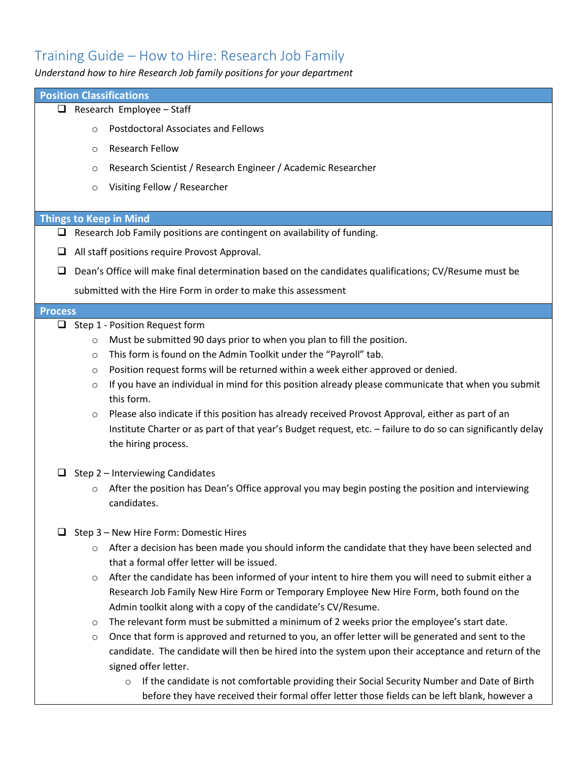## Training Guide – How to Hire: Research Job Family

*Understand how to hire Research Job family positions for your department*

|                                         |         | <b>Position Classifications</b>                                                                                   |
|-----------------------------------------|---------|-------------------------------------------------------------------------------------------------------------------|
| $\Box$ Research Employee - Staff        |         |                                                                                                                   |
|                                         | $\circ$ | <b>Postdoctoral Associates and Fellows</b>                                                                        |
|                                         | $\circ$ | <b>Research Fellow</b>                                                                                            |
|                                         |         |                                                                                                                   |
|                                         | $\circ$ | Research Scientist / Research Engineer / Academic Researcher                                                      |
|                                         | $\circ$ | Visiting Fellow / Researcher                                                                                      |
|                                         |         | <b>Things to Keep in Mind</b>                                                                                     |
|                                         |         | $\Box$ Research Job Family positions are contingent on availability of funding.                                   |
| u                                       |         | All staff positions require Provost Approval.                                                                     |
|                                         |         |                                                                                                                   |
| ப                                       |         | Dean's Office will make final determination based on the candidates qualifications; CV/Resume must be             |
|                                         |         | submitted with the Hire Form in order to make this assessment                                                     |
| <b>Process</b>                          |         |                                                                                                                   |
|                                         |         | $\Box$ Step 1 - Position Request form                                                                             |
|                                         | $\circ$ | Must be submitted 90 days prior to when you plan to fill the position.                                            |
|                                         | $\circ$ | This form is found on the Admin Toolkit under the "Payroll" tab.                                                  |
|                                         | O       | Position request forms will be returned within a week either approved or denied.                                  |
|                                         | $\circ$ | If you have an individual in mind for this position already please communicate that when you submit<br>this form. |
|                                         | $\circ$ | Please also indicate if this position has already received Provost Approval, either as part of an                 |
|                                         |         | Institute Charter or as part of that year's Budget request, etc. - failure to do so can significantly delay       |
|                                         |         | the hiring process.                                                                                               |
| $\Box$ Step 2 – Interviewing Candidates |         |                                                                                                                   |
|                                         | $\circ$ | After the position has Dean's Office approval you may begin posting the position and interviewing                 |
|                                         |         | candidates.                                                                                                       |
|                                         |         |                                                                                                                   |
|                                         |         | $\Box$ Step 3 – New Hire Form: Domestic Hires                                                                     |
|                                         | $\circ$ | After a decision has been made you should inform the candidate that they have been selected and                   |
|                                         |         | that a formal offer letter will be issued.                                                                        |
|                                         | $\circ$ | After the candidate has been informed of your intent to hire them you will need to submit either a                |
|                                         |         | Research Job Family New Hire Form or Temporary Employee New Hire Form, both found on the                          |
|                                         |         | Admin toolkit along with a copy of the candidate's CV/Resume.                                                     |
|                                         | $\circ$ | The relevant form must be submitted a minimum of 2 weeks prior the employee's start date.                         |
|                                         | O       | Once that form is approved and returned to you, an offer letter will be generated and sent to the                 |
|                                         |         | candidate. The candidate will then be hired into the system upon their acceptance and return of the               |
|                                         |         | signed offer letter.                                                                                              |
|                                         |         | If the candidate is not comfortable providing their Social Security Number and Date of Birth<br>$\circ$           |

before they have received their formal offer letter those fields can be left blank, however a